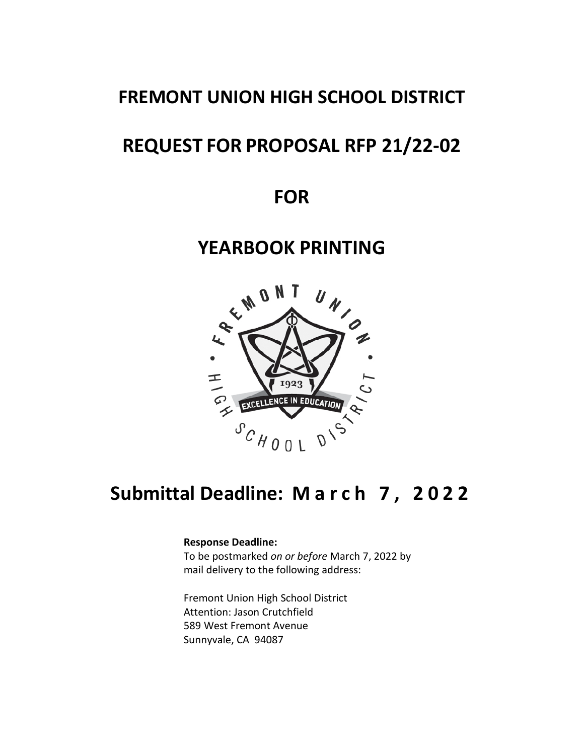## **FREMONT UNION HIGH SCHOOL DISTRICT**

# **REQUEST FOR PROPOSAL RFP 21/22-02**

**FOR**

## **YEARBOOK PRINTING**



# **Submittal Deadline: March 7 , 202 2**

#### **Response Deadline:**

To be postmarked *on or before* March 7, 2022 by mail delivery to the following address:

Fremont Union High School District Attention: Jason Crutchfield 589 West Fremont Avenue Sunnyvale, CA 94087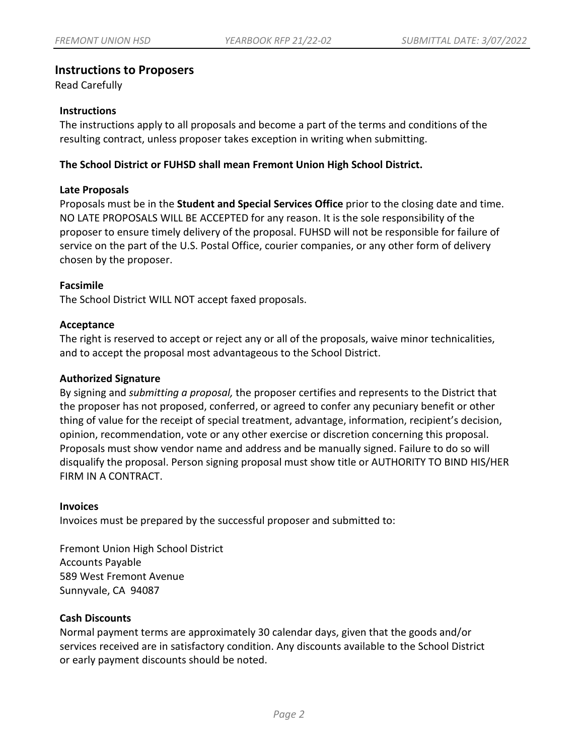## **Instructions to Proposers**

Read Carefully

#### **Instructions**

The instructions apply to all proposals and become a part of the terms and conditions of the resulting contract, unless proposer takes exception in writing when submitting.

## **The School District or FUHSD shall mean Fremont Union High School District.**

#### **Late Proposals**

Proposals must be in the **Student and Special Services Office** prior to the closing date and time. NO LATE PROPOSALS WILL BE ACCEPTED for any reason. It is the sole responsibility of the proposer to ensure timely delivery of the proposal. FUHSD will not be responsible for failure of service on the part of the U.S. Postal Office, courier companies, or any other form of delivery chosen by the proposer.

### **Facsimile**

The School District WILL NOT accept faxed proposals.

#### **Acceptance**

The right is reserved to accept or reject any or all of the proposals, waive minor technicalities, and to accept the proposal most advantageous to the School District.

#### **Authorized Signature**

By signing and *submitting a proposal,* the proposer certifies and represents to the District that the proposer has not proposed, conferred, or agreed to confer any pecuniary benefit or other thing of value for the receipt of special treatment, advantage, information, recipient's decision, opinion, recommendation, vote or any other exercise or discretion concerning this proposal. Proposals must show vendor name and address and be manually signed. Failure to do so will disqualify the proposal. Person signing proposal must show title or AUTHORITY TO BIND HIS/HER FIRM IN A CONTRACT.

#### **Invoices**

Invoices must be prepared by the successful proposer and submitted to:

Fremont Union High School District Accounts Payable 589 West Fremont Avenue Sunnyvale, CA 94087

#### **Cash Discounts**

Normal payment terms are approximately 30 calendar days, given that the goods and/or services received are in satisfactory condition. Any discounts available to the School District or early payment discounts should be noted.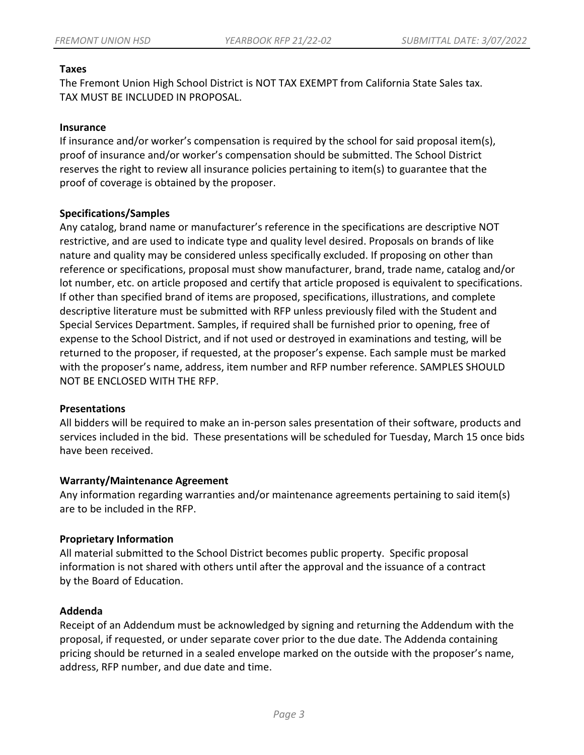### **Taxes**

The Fremont Union High School District is NOT TAX EXEMPT from California State Sales tax. TAX MUST BE INCLUDED IN PROPOSAL.

### **Insurance**

If insurance and/or worker's compensation is required by the school for said proposal item(s), proof of insurance and/or worker's compensation should be submitted. The School District reserves the right to review all insurance policies pertaining to item(s) to guarantee that the proof of coverage is obtained by the proposer.

### **Specifications/Samples**

Any catalog, brand name or manufacturer's reference in the specifications are descriptive NOT restrictive, and are used to indicate type and quality level desired. Proposals on brands of like nature and quality may be considered unless specifically excluded. If proposing on other than reference or specifications, proposal must show manufacturer, brand, trade name, catalog and/or lot number, etc. on article proposed and certify that article proposed is equivalent to specifications. If other than specified brand of items are proposed, specifications, illustrations, and complete descriptive literature must be submitted with RFP unless previously filed with the Student and Special Services Department. Samples, if required shall be furnished prior to opening, free of expense to the School District, and if not used or destroyed in examinations and testing, will be returned to the proposer, if requested, at the proposer's expense. Each sample must be marked with the proposer's name, address, item number and RFP number reference. SAMPLES SHOULD NOT BE ENCLOSED WITH THE RFP.

#### **Presentations**

All bidders will be required to make an in-person sales presentation of their software, products and services included in the bid. These presentations will be scheduled for Tuesday, March 15 once bids have been received.

#### **Warranty/Maintenance Agreement**

Any information regarding warranties and/or maintenance agreements pertaining to said item(s) are to be included in the RFP.

## **Proprietary Information**

All material submitted to the School District becomes public property. Specific proposal information is not shared with others until after the approval and the issuance of a contract by the Board of Education.

## **Addenda**

Receipt of an Addendum must be acknowledged by signing and returning the Addendum with the proposal, if requested, or under separate cover prior to the due date. The Addenda containing pricing should be returned in a sealed envelope marked on the outside with the proposer's name, address, RFP number, and due date and time.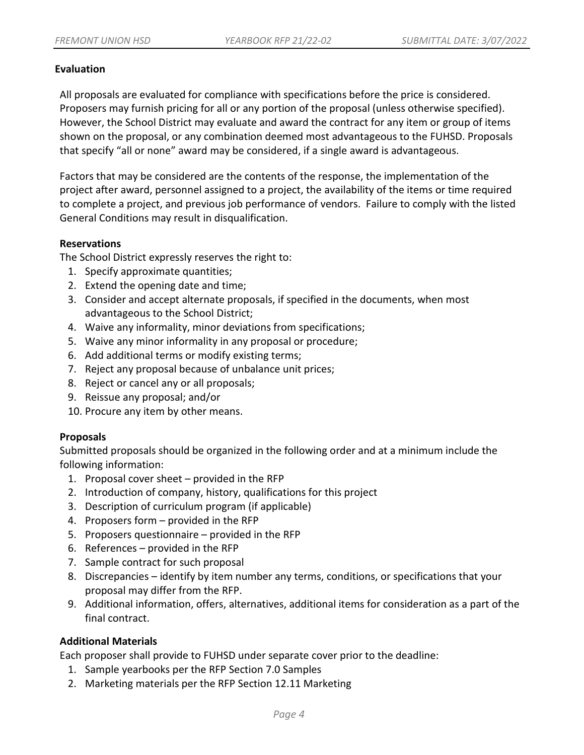### **Evaluation**

All proposals are evaluated for compliance with specifications before the price is considered. Proposers may furnish pricing for all or any portion of the proposal (unless otherwise specified). However, the School District may evaluate and award the contract for any item or group of items shown on the proposal, or any combination deemed most advantageous to the FUHSD. Proposals that specify "all or none" award may be considered, if a single award is advantageous.

Factors that may be considered are the contents of the response, the implementation of the project after award, personnel assigned to a project, the availability of the items or time required to complete a project, and previous job performance of vendors. Failure to comply with the listed General Conditions may result in disqualification.

### **Reservations**

The School District expressly reserves the right to:

- 1. Specify approximate quantities;
- 2. Extend the opening date and time;
- 3. Consider and accept alternate proposals, if specified in the documents, when most advantageous to the School District;
- 4. Waive any informality, minor deviations from specifications;
- 5. Waive any minor informality in any proposal or procedure;
- 6. Add additional terms or modify existing terms;
- 7. Reject any proposal because of unbalance unit prices;
- 8. Reject or cancel any or all proposals;
- 9. Reissue any proposal; and/or
- 10. Procure any item by other means.

## **Proposals**

Submitted proposals should be organized in the following order and at a minimum include the following information:

- 1. Proposal cover sheet provided in the RFP
- 2. Introduction of company, history, qualifications for this project
- 3. Description of curriculum program (if applicable)
- 4. Proposers form provided in the RFP
- 5. Proposers questionnaire provided in the RFP
- 6. References provided in the RFP
- 7. Sample contract for such proposal
- 8. Discrepancies identify by item number any terms, conditions, or specifications that your proposal may differ from the RFP.
- 9. Additional information, offers, alternatives, additional items for consideration as a part of the final contract.

## **Additional Materials**

Each proposer shall provide to FUHSD under separate cover prior to the deadline:

- 1. Sample yearbooks per the RFP Section 7.0 Samples
- 2. Marketing materials per the RFP Section 12.11 Marketing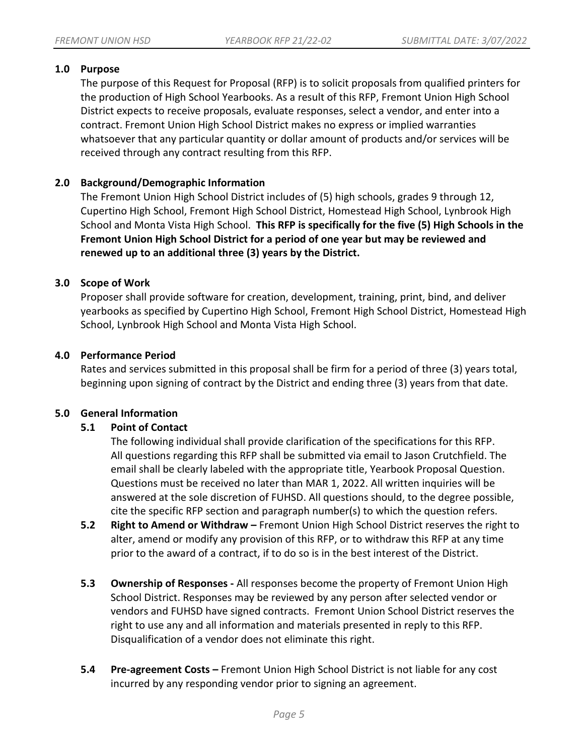## **1.0 Purpose**

The purpose of this Request for Proposal (RFP) is to solicit proposals from qualified printers for the production of High School Yearbooks. As a result of this RFP, Fremont Union High School District expects to receive proposals, evaluate responses, select a vendor, and enter into a contract. Fremont Union High School District makes no express or implied warranties whatsoever that any particular quantity or dollar amount of products and/or services will be received through any contract resulting from this RFP.

## **2.0 Background/Demographic Information**

The Fremont Union High School District includes of (5) high schools, grades 9 through 12, Cupertino High School, Fremont High School District, Homestead High School, Lynbrook High School and Monta Vista High School. **This RFP is specifically for the five (5) High Schools in the Fremont Union High School District for a period of one year but may be reviewed and renewed up to an additional three (3) years by the District.**

## **3.0 Scope of Work**

Proposer shall provide software for creation, development, training, print, bind, and deliver yearbooks as specified by Cupertino High School, Fremont High School District, Homestead High School, Lynbrook High School and Monta Vista High School.

### **4.0 Performance Period**

Rates and services submitted in this proposal shall be firm for a period of three (3) years total, beginning upon signing of contract by the District and ending three (3) years from that date.

#### **5.0 General Information**

## **5.1 Point of Contact**

The following individual shall provide clarification of the specifications for this RFP. All questions regarding this RFP shall be submitted via email to Jason Crutchfield. The email shall be clearly labeled with the appropriate title, Yearbook Proposal Question. Questions must be received no later than MAR 1, 2022. All written inquiries will be answered at the sole discretion of FUHSD. All questions should, to the degree possible, cite the specific RFP section and paragraph number(s) to which the question refers.

- **5.2 Right to Amend or Withdraw –** Fremont Union High School District reserves the right to alter, amend or modify any provision of this RFP, or to withdraw this RFP at any time prior to the award of a contract, if to do so is in the best interest of the District.
- **5.3 Ownership of Responses -** All responses become the property of Fremont Union High School District. Responses may be reviewed by any person after selected vendor or vendors and FUHSD have signed contracts. Fremont Union School District reserves the right to use any and all information and materials presented in reply to this RFP. Disqualification of a vendor does not eliminate this right.
- **5.4 Pre-agreement Costs –** Fremont Union High School District is not liable for any cost incurred by any responding vendor prior to signing an agreement.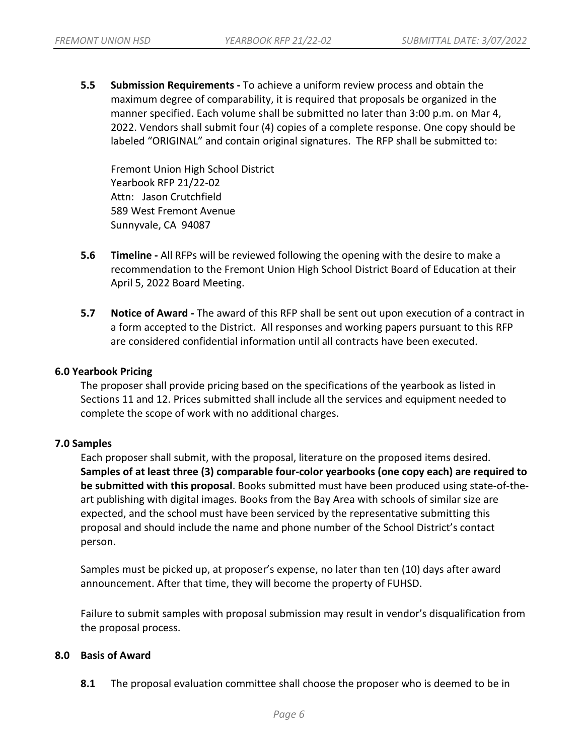**5.5 Submission Requirements -** To achieve a uniform review process and obtain the maximum degree of comparability, it is required that proposals be organized in the manner specified. Each volume shall be submitted no later than 3:00 p.m. on Mar 4, 2022. Vendors shall submit four (4) copies of a complete response. One copy should be labeled "ORIGINAL" and contain original signatures. The RFP shall be submitted to:

Fremont Union High School District Yearbook RFP 21/22-02 Attn: Jason Crutchfield 589 West Fremont Avenue Sunnyvale, CA 94087

- **5.6 Timeline -** All RFPs will be reviewed following the opening with the desire to make a recommendation to the Fremont Union High School District Board of Education at their April 5, 2022 Board Meeting.
- **5.7 Notice of Award -** The award of this RFP shall be sent out upon execution of a contract in a form accepted to the District. All responses and working papers pursuant to this RFP are considered confidential information until all contracts have been executed.

#### **6.0 Yearbook Pricing**

The proposer shall provide pricing based on the specifications of the yearbook as listed in Sections 11 and 12. Prices submitted shall include all the services and equipment needed to complete the scope of work with no additional charges.

#### **7.0 Samples**

Each proposer shall submit, with the proposal, literature on the proposed items desired. **Samples of at least three (3) comparable four-color yearbooks (one copy each) are required to be submitted with this proposal**. Books submitted must have been produced using state-of-theart publishing with digital images. Books from the Bay Area with schools of similar size are expected, and the school must have been serviced by the representative submitting this proposal and should include the name and phone number of the School District's contact person.

Samples must be picked up, at proposer's expense, no later than ten (10) days after award announcement. After that time, they will become the property of FUHSD.

Failure to submit samples with proposal submission may result in vendor's disqualification from the proposal process.

#### **8.0 Basis of Award**

**8.1** The proposal evaluation committee shall choose the proposer who is deemed to be in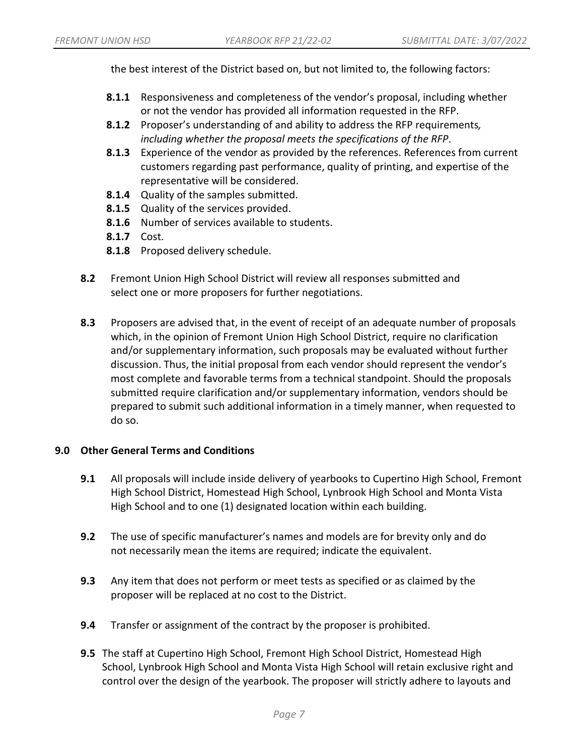the best interest of the District based on, but not limited to, the following factors:

- **8.1.1** Responsiveness and completeness of the vendor's proposal, including whether or not the vendor has provided all information requested in the RFP.
- **8.1.2** Proposer's understanding of and ability to address the RFP requirements*, including whether the proposal meets the specifications of the RFP*.
- **8.1.3** Experience of the vendor as provided by the references. References from current customers regarding past performance, quality of printing, and expertise of the representative will be considered.
- **8.1.4** Quality of the samples submitted.
- **8.1.5** Quality of the services provided.
- **8.1.6** Number of services available to students.
- **8.1.7** Cost.
- **8.1.8** Proposed delivery schedule.
- **8.2** Fremont Union High School District will review all responses submitted and select one or more proposers for further negotiations.
- **8.3** Proposers are advised that, in the event of receipt of an adequate number of proposals which, in the opinion of Fremont Union High School District, require no clarification and/or supplementary information, such proposals may be evaluated without further discussion. Thus, the initial proposal from each vendor should represent the vendor's most complete and favorable terms from a technical standpoint. Should the proposals submitted require clarification and/or supplementary information, vendors should be prepared to submit such additional information in a timely manner, when requested to do so.

## **9.0 Other General Terms and Conditions**

- **9.1** All proposals will include inside delivery of yearbooks to Cupertino High School, Fremont High School District, Homestead High School, Lynbrook High School and Monta Vista High School and to one (1) designated location within each building.
- **9.2** The use of specific manufacturer's names and models are for brevity only and do not necessarily mean the items are required; indicate the equivalent.
- **9.3** Any item that does not perform or meet tests as specified or as claimed by the proposer will be replaced at no cost to the District.
- **9.4** Transfer or assignment of the contract by the proposer is prohibited.
- **9.5** The staff at Cupertino High School, Fremont High School District, Homestead High School, Lynbrook High School and Monta Vista High School will retain exclusive right and control over the design of the yearbook. The proposer will strictly adhere to layouts and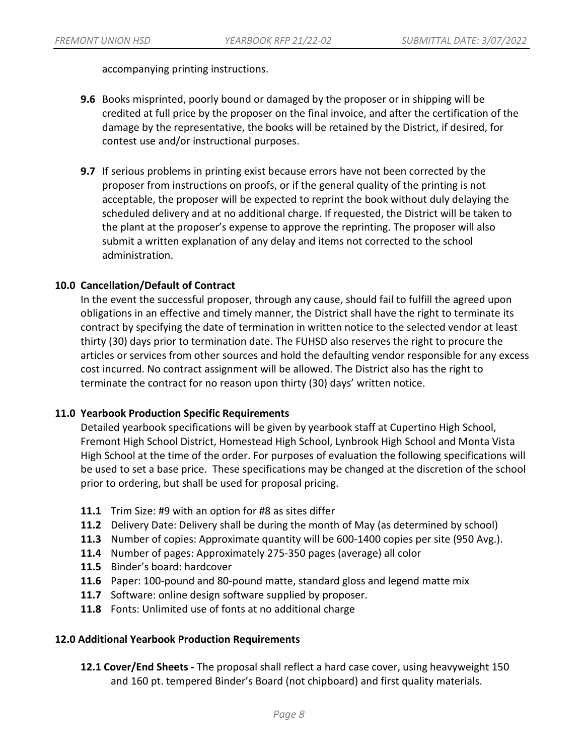accompanying printing instructions.

- **9.6** Books misprinted, poorly bound or damaged by the proposer or in shipping will be credited at full price by the proposer on the final invoice, and after the certification of the damage by the representative, the books will be retained by the District, if desired, for contest use and/or instructional purposes.
- **9.7** If serious problems in printing exist because errors have not been corrected by the proposer from instructions on proofs, or if the general quality of the printing is not acceptable, the proposer will be expected to reprint the book without duly delaying the scheduled delivery and at no additional charge. If requested, the District will be taken to the plant at the proposer's expense to approve the reprinting. The proposer will also submit a written explanation of any delay and items not corrected to the school administration.

## **10.0 Cancellation/Default of Contract**

In the event the successful proposer, through any cause, should fail to fulfill the agreed upon obligations in an effective and timely manner, the District shall have the right to terminate its contract by specifying the date of termination in written notice to the selected vendor at least thirty (30) days prior to termination date. The FUHSD also reserves the right to procure the articles or services from other sources and hold the defaulting vendor responsible for any excess cost incurred. No contract assignment will be allowed. The District also has the right to terminate the contract for no reason upon thirty (30) days' written notice.

#### **11.0 Yearbook Production Specific Requirements**

Detailed yearbook specifications will be given by yearbook staff at Cupertino High School, Fremont High School District, Homestead High School, Lynbrook High School and Monta Vista High School at the time of the order. For purposes of evaluation the following specifications will be used to set a base price. These specifications may be changed at the discretion of the school prior to ordering, but shall be used for proposal pricing.

- **11.1** Trim Size: #9 with an option for #8 as sites differ
- **11.2** Delivery Date: Delivery shall be during the month of May (as determined by school)
- **11.3** Number of copies: Approximate quantity will be 600-1400 copies per site (950 Avg.).
- **11.4** Number of pages: Approximately 275-350 pages (average) all color
- **11.5** Binder's board: hardcover
- **11.6** Paper: 100-pound and 80-pound matte, standard gloss and legend matte mix
- **11.7** Software: online design software supplied by proposer.
- **11.8** Fonts: Unlimited use of fonts at no additional charge

### **12.0 Additional Yearbook Production Requirements**

**12.1 Cover/End Sheets -** The proposal shall reflect a hard case cover, using heavyweight 150 and 160 pt. tempered Binder's Board (not chipboard) and first quality materials.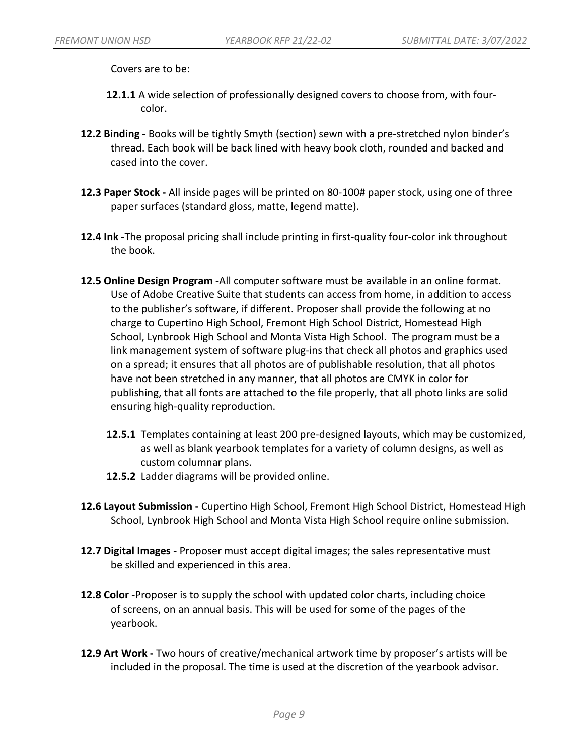Covers are to be:

- **12.1.1** A wide selection of professionally designed covers to choose from, with fourcolor.
- **12.2 Binding -** Books will be tightly Smyth (section) sewn with a pre-stretched nylon binder's thread. Each book will be back lined with heavy book cloth, rounded and backed and cased into the cover.
- **12.3 Paper Stock -** All inside pages will be printed on 80-100# paper stock, using one of three paper surfaces (standard gloss, matte, legend matte).
- **12.4 Ink -**The proposal pricing shall include printing in first-quality four-color ink throughout the book.
- **12.5 Online Design Program -**All computer software must be available in an online format. Use of Adobe Creative Suite that students can access from home, in addition to access to the publisher's software, if different. Proposer shall provide the following at no charge to Cupertino High School, Fremont High School District, Homestead High School, Lynbrook High School and Monta Vista High School. The program must be a link management system of software plug-ins that check all photos and graphics used on a spread; it ensures that all photos are of publishable resolution, that all photos have not been stretched in any manner, that all photos are CMYK in color for publishing, that all fonts are attached to the file properly, that all photo links are solid ensuring high-quality reproduction.
	- **12.5.1** Templates containing at least 200 pre-designed layouts, which may be customized, as well as blank yearbook templates for a variety of column designs, as well as custom columnar plans.
	- **12.5.2** Ladder diagrams will be provided online.
- **12.6 Layout Submission -** Cupertino High School, Fremont High School District, Homestead High School, Lynbrook High School and Monta Vista High School require online submission.
- **12.7 Digital Images -** Proposer must accept digital images; the sales representative must be skilled and experienced in this area.
- **12.8 Color -**Proposer is to supply the school with updated color charts, including choice of screens, on an annual basis. This will be used for some of the pages of the yearbook.
- **12.9 Art Work -** Two hours of creative/mechanical artwork time by proposer's artists will be included in the proposal. The time is used at the discretion of the yearbook advisor.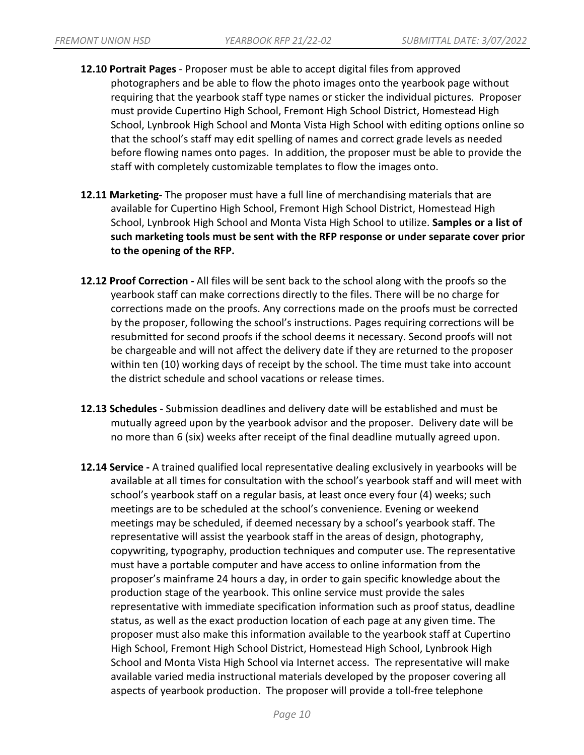- **12.10 Portrait Pages**  Proposer must be able to accept digital files from approved photographers and be able to flow the photo images onto the yearbook page without requiring that the yearbook staff type names or sticker the individual pictures. Proposer must provide Cupertino High School, Fremont High School District, Homestead High School, Lynbrook High School and Monta Vista High School with editing options online so that the school's staff may edit spelling of names and correct grade levels as needed before flowing names onto pages. In addition, the proposer must be able to provide the staff with completely customizable templates to flow the images onto.
- **12.11 Marketing-** The proposer must have a full line of merchandising materials that are available for Cupertino High School, Fremont High School District, Homestead High School, Lynbrook High School and Monta Vista High School to utilize. **Samples or a list of such marketing tools must be sent with the RFP response or under separate cover prior to the opening of the RFP.**
- **12.12 Proof Correction -** All files will be sent back to the school along with the proofs so the yearbook staff can make corrections directly to the files. There will be no charge for corrections made on the proofs. Any corrections made on the proofs must be corrected by the proposer, following the school's instructions. Pages requiring corrections will be resubmitted for second proofs if the school deems it necessary. Second proofs will not be chargeable and will not affect the delivery date if they are returned to the proposer within ten (10) working days of receipt by the school. The time must take into account the district schedule and school vacations or release times.
- **12.13 Schedules**  Submission deadlines and delivery date will be established and must be mutually agreed upon by the yearbook advisor and the proposer. Delivery date will be no more than 6 (six) weeks after receipt of the final deadline mutually agreed upon.
- **12.14 Service -** A trained qualified local representative dealing exclusively in yearbooks will be available at all times for consultation with the school's yearbook staff and will meet with school's yearbook staff on a regular basis, at least once every four (4) weeks; such meetings are to be scheduled at the school's convenience. Evening or weekend meetings may be scheduled, if deemed necessary by a school's yearbook staff. The representative will assist the yearbook staff in the areas of design, photography, copywriting, typography, production techniques and computer use. The representative must have a portable computer and have access to online information from the proposer's mainframe 24 hours a day, in order to gain specific knowledge about the production stage of the yearbook. This online service must provide the sales representative with immediate specification information such as proof status, deadline status, as well as the exact production location of each page at any given time. The proposer must also make this information available to the yearbook staff at Cupertino High School, Fremont High School District, Homestead High School, Lynbrook High School and Monta Vista High School via Internet access. The representative will make available varied media instructional materials developed by the proposer covering all aspects of yearbook production. The proposer will provide a toll-free telephone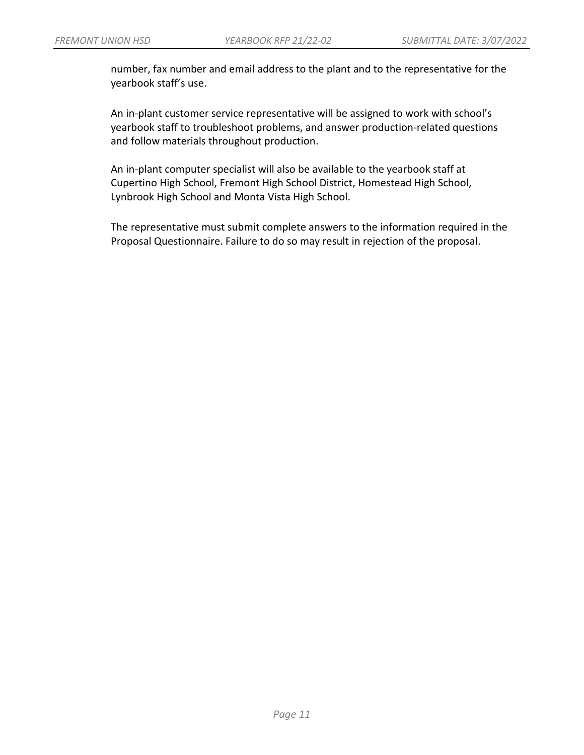number, fax number and email address to the plant and to the representative for the yearbook staff's use.

An in-plant customer service representative will be assigned to work with school's yearbook staff to troubleshoot problems, and answer production-related questions and follow materials throughout production.

An in-plant computer specialist will also be available to the yearbook staff at Cupertino High School, Fremont High School District, Homestead High School, Lynbrook High School and Monta Vista High School.

The representative must submit complete answers to the information required in the Proposal Questionnaire. Failure to do so may result in rejection of the proposal.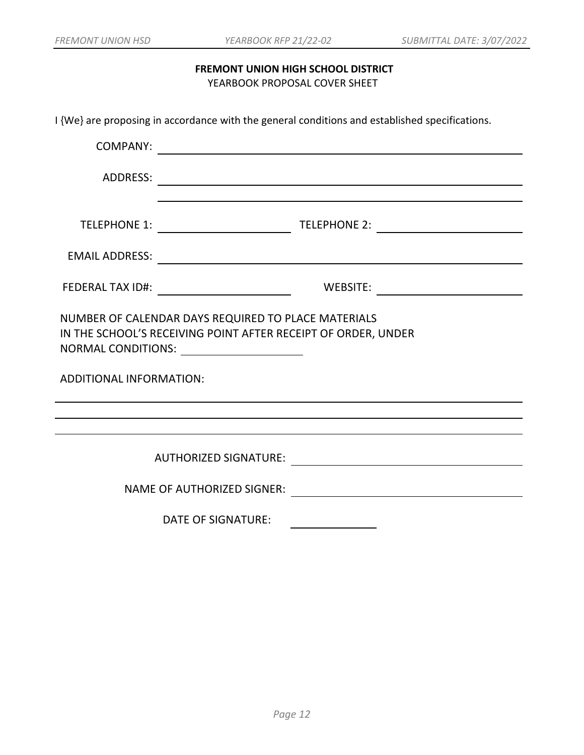## **FREMONT UNION HIGH SCHOOL DISTRICT** YEARBOOK PROPOSAL COVER SHEET

I {We} are proposing in accordance with the general conditions and established specifications.

| <b>COMPANY:</b>                                                                                                                                                            | <u> 1989 - Johann Barbara, martxa amerikan personal (h. 1989).</u> |                                                                      |  |  |
|----------------------------------------------------------------------------------------------------------------------------------------------------------------------------|--------------------------------------------------------------------|----------------------------------------------------------------------|--|--|
| ADDRESS:                                                                                                                                                                   |                                                                    | <u> 1980 - Johann Barn, mars an t-Amerikaansk politiker (* 1950)</u> |  |  |
|                                                                                                                                                                            |                                                                    |                                                                      |  |  |
|                                                                                                                                                                            |                                                                    |                                                                      |  |  |
|                                                                                                                                                                            |                                                                    |                                                                      |  |  |
| NUMBER OF CALENDAR DAYS REQUIRED TO PLACE MATERIALS<br>IN THE SCHOOL'S RECEIVING POINT AFTER RECEIPT OF ORDER, UNDER<br>NORMAL CONDITIONS: University Processor Conditions |                                                                    |                                                                      |  |  |
| <b>ADDITIONAL INFORMATION:</b>                                                                                                                                             |                                                                    |                                                                      |  |  |
|                                                                                                                                                                            |                                                                    |                                                                      |  |  |
|                                                                                                                                                                            | <b>AUTHORIZED SIGNATURE:</b>                                       |                                                                      |  |  |
|                                                                                                                                                                            | <b>NAME OF AUTHORIZED SIGNER:</b>                                  |                                                                      |  |  |
|                                                                                                                                                                            | <b>DATE OF SIGNATURE:</b>                                          |                                                                      |  |  |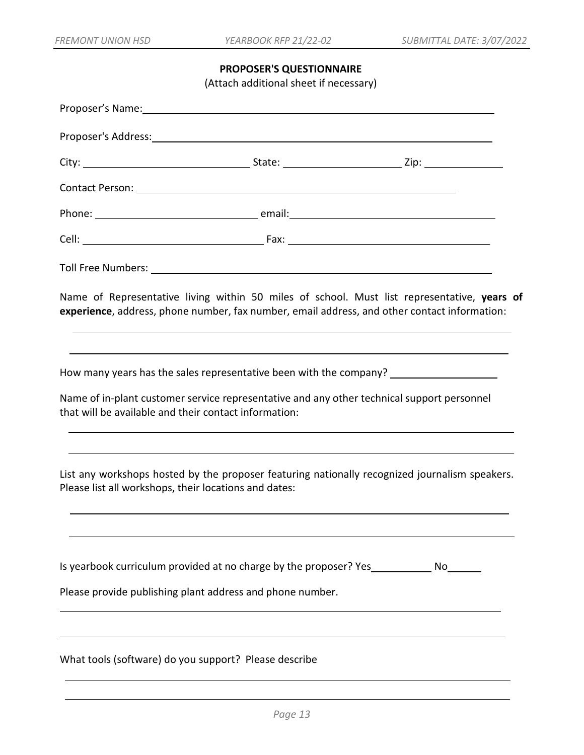## **PROPOSER'S QUESTIONNAIRE**

(Attach additional sheet if necessary)

| Proposer's Address: North American Section 2014 12:00:00 Proposer's Address: |                                                                                                                                                       |                                                                                                                                                                                             |  |  |  |  |
|------------------------------------------------------------------------------|-------------------------------------------------------------------------------------------------------------------------------------------------------|---------------------------------------------------------------------------------------------------------------------------------------------------------------------------------------------|--|--|--|--|
|                                                                              |                                                                                                                                                       |                                                                                                                                                                                             |  |  |  |  |
|                                                                              |                                                                                                                                                       |                                                                                                                                                                                             |  |  |  |  |
|                                                                              |                                                                                                                                                       |                                                                                                                                                                                             |  |  |  |  |
|                                                                              |                                                                                                                                                       |                                                                                                                                                                                             |  |  |  |  |
|                                                                              |                                                                                                                                                       |                                                                                                                                                                                             |  |  |  |  |
|                                                                              |                                                                                                                                                       | Name of Representative living within 50 miles of school. Must list representative, years of<br>experience, address, phone number, fax number, email address, and other contact information: |  |  |  |  |
| that will be available and their contact information:                        |                                                                                                                                                       | How many years has the sales representative been with the company? ______________<br>Name of in-plant customer service representative and any other technical support personnel             |  |  |  |  |
| Please list all workshops, their locations and dates:                        |                                                                                                                                                       | List any workshops hosted by the proposer featuring nationally recognized journalism speakers.                                                                                              |  |  |  |  |
|                                                                              | Is yearbook curriculum provided at no charge by the proposer? Yes ______________ No_____<br>Please provide publishing plant address and phone number. |                                                                                                                                                                                             |  |  |  |  |
| What tools (software) do you support? Please describe                        |                                                                                                                                                       |                                                                                                                                                                                             |  |  |  |  |
|                                                                              |                                                                                                                                                       |                                                                                                                                                                                             |  |  |  |  |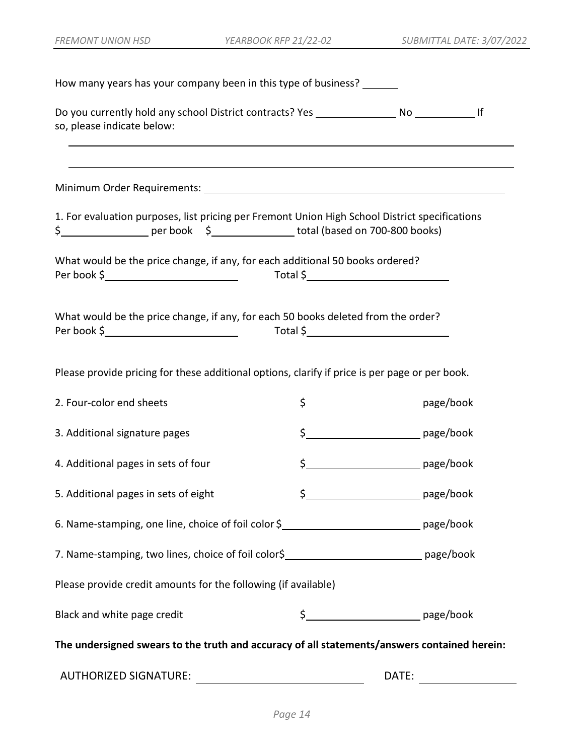| How many years has your company been in this type of business?                                                 |    |           |  |  |  |
|----------------------------------------------------------------------------------------------------------------|----|-----------|--|--|--|
| so, please indicate below:<br>,我们也不能在这里的时候,我们也不能在这里的时候,我们也不能会在这里的时候,我们也不能会在这里的时候,我们也不能会在这里的时候,我们也不能会在这里的时候,我们也 |    |           |  |  |  |
| ,我们也不能在这里的时候,我们也不能在这里的时候,我们也不能会在这里的时候,我们也不能会在这里的时候,我们也不能会在这里的时候,我们也不能会在这里的时候,我们也不                              |    |           |  |  |  |
| 1. For evaluation purposes, list pricing per Fremont Union High School District specifications                 |    |           |  |  |  |
| What would be the price change, if any, for each additional 50 books ordered?                                  |    |           |  |  |  |
| What would be the price change, if any, for each 50 books deleted from the order?                              |    |           |  |  |  |
| Please provide pricing for these additional options, clarify if price is per page or per book.                 |    |           |  |  |  |
| 2. Four-color end sheets                                                                                       | \$ | page/book |  |  |  |
| 3. Additional signature pages                                                                                  |    |           |  |  |  |
| 4. Additional pages in sets of four                                                                            |    |           |  |  |  |
| 5. Additional pages in sets of eight                                                                           |    |           |  |  |  |
| 6. Name-stamping, one line, choice of foil color \$_______________________________ page/book                   |    |           |  |  |  |
| 7. Name-stamping, two lines, choice of foil color\$______________________________ page/book                    |    |           |  |  |  |
| Please provide credit amounts for the following (if available)                                                 |    |           |  |  |  |
| Black and white page credit                                                                                    |    |           |  |  |  |
| The undersigned swears to the truth and accuracy of all statements/answers contained herein:                   |    |           |  |  |  |
|                                                                                                                |    |           |  |  |  |